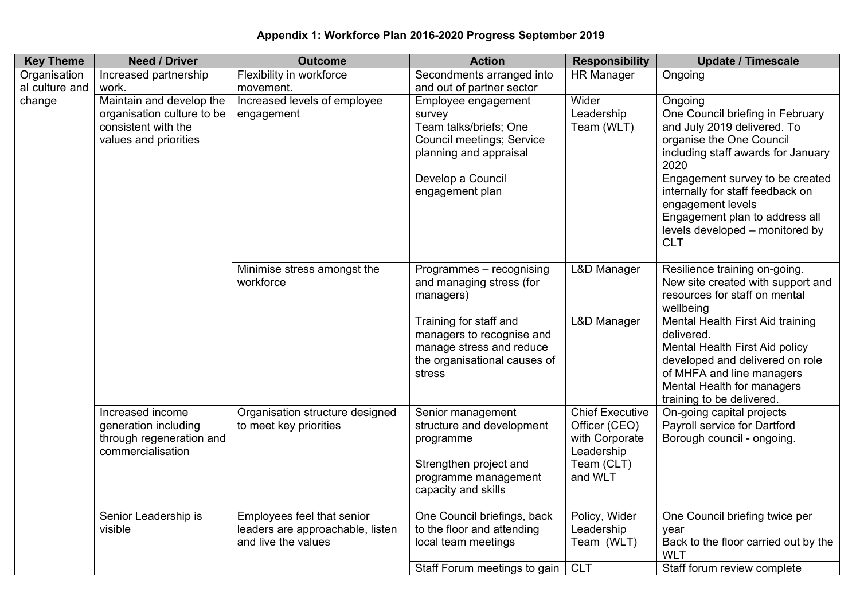| Appendix 1: Workforce Plan 2016-2020 Progress September 2019 |  |  |  |  |
|--------------------------------------------------------------|--|--|--|--|
|--------------------------------------------------------------|--|--|--|--|

| <b>Key Theme</b> | <b>Need / Driver</b>                                                                                   | <b>Outcome</b>                                                                        | <b>Action</b>                                                                                                                                                 | <b>Responsibility</b>                                                                            | <b>Update / Timescale</b>                                                                                                                                                                                                                                                                                                           |
|------------------|--------------------------------------------------------------------------------------------------------|---------------------------------------------------------------------------------------|---------------------------------------------------------------------------------------------------------------------------------------------------------------|--------------------------------------------------------------------------------------------------|-------------------------------------------------------------------------------------------------------------------------------------------------------------------------------------------------------------------------------------------------------------------------------------------------------------------------------------|
| Organisation     | Increased partnership                                                                                  | Flexibility in workforce                                                              | Secondments arranged into                                                                                                                                     | <b>HR Manager</b>                                                                                | Ongoing                                                                                                                                                                                                                                                                                                                             |
| al culture and   | work.                                                                                                  | movement.                                                                             | and out of partner sector                                                                                                                                     |                                                                                                  |                                                                                                                                                                                                                                                                                                                                     |
| change           | Maintain and develop the<br>organisation culture to be<br>consistent with the<br>values and priorities | Increased levels of employee<br>engagement                                            | Employee engagement<br>survey<br>Team talks/briefs; One<br><b>Council meetings; Service</b><br>planning and appraisal<br>Develop a Council<br>engagement plan | Wider<br>Leadership<br>Team (WLT)                                                                | Ongoing<br>One Council briefing in February<br>and July 2019 delivered. To<br>organise the One Council<br>including staff awards for January<br>2020<br>Engagement survey to be created<br>internally for staff feedback on<br>engagement levels<br>Engagement plan to address all<br>levels developed – monitored by<br><b>CLT</b> |
|                  |                                                                                                        | Minimise stress amongst the<br>workforce                                              | Programmes - recognising<br>and managing stress (for<br>managers)                                                                                             | L&D Manager                                                                                      | Resilience training on-going.<br>New site created with support and<br>resources for staff on mental<br>wellbeing                                                                                                                                                                                                                    |
|                  |                                                                                                        |                                                                                       | Training for staff and<br>managers to recognise and<br>manage stress and reduce<br>the organisational causes of<br>stress                                     | <b>L&amp;D Manager</b>                                                                           | Mental Health First Aid training<br>delivered.<br>Mental Health First Aid policy<br>developed and delivered on role<br>of MHFA and line managers<br>Mental Health for managers<br>training to be delivered.                                                                                                                         |
|                  | Increased income<br>generation including<br>through regeneration and<br>commercialisation              | Organisation structure designed<br>to meet key priorities                             | Senior management<br>structure and development<br>programme<br>Strengthen project and<br>programme management<br>capacity and skills                          | <b>Chief Executive</b><br>Officer (CEO)<br>with Corporate<br>Leadership<br>Team (CLT)<br>and WLT | On-going capital projects<br>Payroll service for Dartford<br>Borough council - ongoing.                                                                                                                                                                                                                                             |
|                  | Senior Leadership is<br>visible                                                                        | Employees feel that senior<br>leaders are approachable, listen<br>and live the values | One Council briefings, back<br>to the floor and attending<br>local team meetings<br>Staff Forum meetings to gain   CLT                                        | Policy, Wider<br>Leadership<br>Team (WLT)                                                        | One Council briefing twice per<br>year<br>Back to the floor carried out by the<br><b>WLT</b><br>Staff forum review complete                                                                                                                                                                                                         |
|                  |                                                                                                        |                                                                                       |                                                                                                                                                               |                                                                                                  |                                                                                                                                                                                                                                                                                                                                     |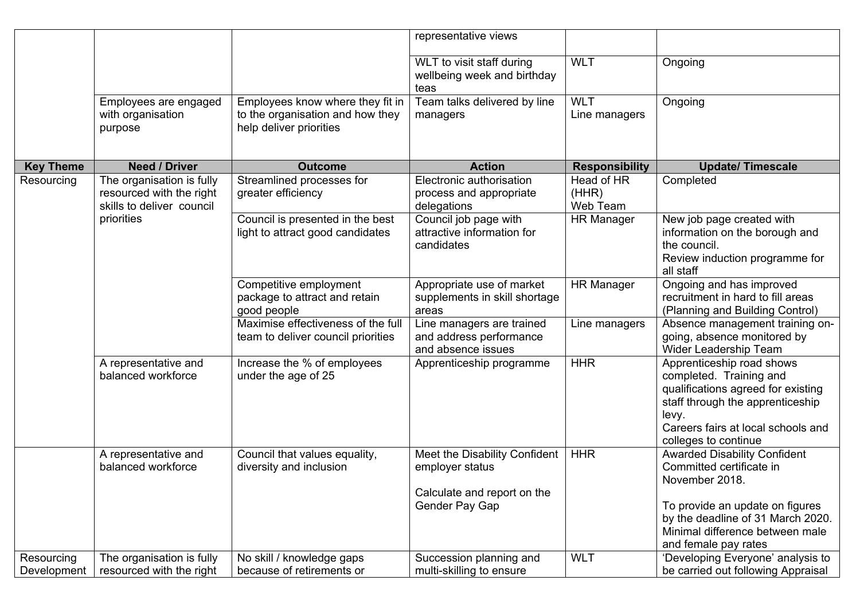|                           |                                                                                    |                                                                                                 | representative views                                                                              |                                 |                                                                                                                                                                                                       |
|---------------------------|------------------------------------------------------------------------------------|-------------------------------------------------------------------------------------------------|---------------------------------------------------------------------------------------------------|---------------------------------|-------------------------------------------------------------------------------------------------------------------------------------------------------------------------------------------------------|
|                           |                                                                                    |                                                                                                 | WLT to visit staff during<br>wellbeing week and birthday<br>teas                                  | <b>WLT</b>                      | Ongoing                                                                                                                                                                                               |
|                           | Employees are engaged<br>with organisation<br>purpose                              | Employees know where they fit in<br>to the organisation and how they<br>help deliver priorities | Team talks delivered by line<br>managers                                                          | <b>WLT</b><br>Line managers     | Ongoing                                                                                                                                                                                               |
| <b>Key Theme</b>          | <b>Need / Driver</b>                                                               | <b>Outcome</b>                                                                                  | <b>Action</b>                                                                                     | <b>Responsibility</b>           | <b>Update/Timescale</b>                                                                                                                                                                               |
| Resourcing                | The organisation is fully<br>resourced with the right<br>skills to deliver council | Streamlined processes for<br>greater efficiency                                                 | Electronic authorisation<br>process and appropriate<br>delegations                                | Head of HR<br>(HHR)<br>Web Team | Completed                                                                                                                                                                                             |
|                           | priorities                                                                         | Council is presented in the best<br>light to attract good candidates                            | Council job page with<br>attractive information for<br>candidates                                 | <b>HR Manager</b>               | New job page created with<br>information on the borough and<br>the council.<br>Review induction programme for<br>all staff                                                                            |
|                           |                                                                                    | Competitive employment<br>package to attract and retain<br>good people                          | Appropriate use of market<br>supplements in skill shortage<br>areas                               | <b>HR Manager</b>               | Ongoing and has improved<br>recruitment in hard to fill areas<br>(Planning and Building Control)                                                                                                      |
|                           |                                                                                    | Maximise effectiveness of the full<br>team to deliver council priorities                        | Line managers are trained<br>and address performance<br>and absence issues                        | Line managers                   | Absence management training on-<br>going, absence monitored by<br>Wider Leadership Team                                                                                                               |
|                           | A representative and<br>balanced workforce                                         | Increase the % of employees<br>under the age of 25                                              | Apprenticeship programme                                                                          | <b>HHR</b>                      | Apprenticeship road shows<br>completed. Training and<br>qualifications agreed for existing<br>staff through the apprenticeship<br>levy.<br>Careers fairs at local schools and<br>colleges to continue |
|                           | A representative and<br>balanced workforce                                         | Council that values equality,<br>diversity and inclusion                                        | Meet the Disability Confident<br>employer status<br>Calculate and report on the<br>Gender Pay Gap | <b>HHR</b>                      | <b>Awarded Disability Confident</b><br>Committed certificate in<br>November 2018.<br>To provide an update on figures<br>by the deadline of 31 March 2020.                                             |
| Resourcing<br>Development | The organisation is fully<br>resourced with the right                              | No skill / knowledge gaps<br>because of retirements or                                          | Succession planning and<br>multi-skilling to ensure                                               | <b>WLT</b>                      | Minimal difference between male<br>and female pay rates<br>'Developing Everyone' analysis to<br>be carried out following Appraisal                                                                    |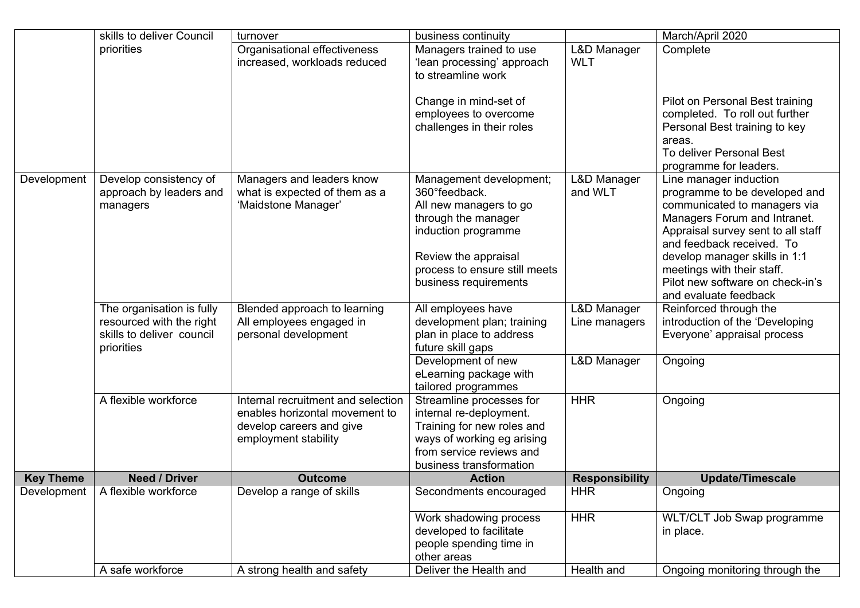|                  | skills to deliver Council                                                                        | business continuity<br>turnover                                                                                          |                                                                                                                                                                                                     |                                      | March/April 2020                                                                                                                                                                                                                                                                                                       |
|------------------|--------------------------------------------------------------------------------------------------|--------------------------------------------------------------------------------------------------------------------------|-----------------------------------------------------------------------------------------------------------------------------------------------------------------------------------------------------|--------------------------------------|------------------------------------------------------------------------------------------------------------------------------------------------------------------------------------------------------------------------------------------------------------------------------------------------------------------------|
|                  | priorities                                                                                       | Organisational effectiveness<br>increased, workloads reduced                                                             | Managers trained to use<br>'lean processing' approach<br>to streamline work                                                                                                                         | <b>L&amp;D Manager</b><br><b>WLT</b> | Complete                                                                                                                                                                                                                                                                                                               |
|                  |                                                                                                  |                                                                                                                          | Change in mind-set of<br>employees to overcome<br>challenges in their roles                                                                                                                         |                                      | Pilot on Personal Best training<br>completed. To roll out further<br>Personal Best training to key<br>areas.<br>To deliver Personal Best<br>programme for leaders.                                                                                                                                                     |
| Development      | Develop consistency of<br>approach by leaders and<br>managers                                    | Managers and leaders know<br>what is expected of them as a<br>'Maidstone Manager'                                        | Management development;<br>360° feedback.<br>All new managers to go<br>through the manager<br>induction programme<br>Review the appraisal<br>process to ensure still meets<br>business requirements | L&D Manager<br>and WLT               | Line manager induction<br>programme to be developed and<br>communicated to managers via<br>Managers Forum and Intranet.<br>Appraisal survey sent to all staff<br>and feedback received. To<br>develop manager skills in 1:1<br>meetings with their staff.<br>Pilot new software on check-in's<br>and evaluate feedback |
|                  | The organisation is fully<br>resourced with the right<br>skills to deliver council<br>priorities | Blended approach to learning<br>All employees engaged in<br>personal development                                         | All employees have<br>development plan; training<br>plan in place to address<br>future skill gaps                                                                                                   | L&D Manager<br>Line managers         | Reinforced through the<br>introduction of the 'Developing<br>Everyone' appraisal process                                                                                                                                                                                                                               |
|                  |                                                                                                  |                                                                                                                          | Development of new<br>eLearning package with<br>tailored programmes                                                                                                                                 | L&D Manager                          | Ongoing                                                                                                                                                                                                                                                                                                                |
|                  | A flexible workforce                                                                             | Internal recruitment and selection<br>enables horizontal movement to<br>develop careers and give<br>employment stability | Streamline processes for<br>internal re-deployment.<br>Training for new roles and<br>ways of working eg arising<br>from service reviews and<br>business transformation                              | <b>HHR</b>                           | Ongoing                                                                                                                                                                                                                                                                                                                |
| <b>Key Theme</b> | <b>Need / Driver</b>                                                                             | <b>Outcome</b>                                                                                                           | <b>Action</b>                                                                                                                                                                                       | <b>Responsibility</b>                | <b>Update/Timescale</b>                                                                                                                                                                                                                                                                                                |
| Development      | A flexible workforce                                                                             | Develop a range of skills                                                                                                | Secondments encouraged<br>Work shadowing process                                                                                                                                                    | <b>HHR</b><br><b>HHR</b>             | Ongoing<br>WLT/CLT Job Swap programme                                                                                                                                                                                                                                                                                  |
|                  |                                                                                                  |                                                                                                                          | developed to facilitate<br>people spending time in<br>other areas                                                                                                                                   |                                      | in place.                                                                                                                                                                                                                                                                                                              |
|                  | A safe workforce                                                                                 | A strong health and safety                                                                                               | Deliver the Health and                                                                                                                                                                              | Health and                           | Ongoing monitoring through the                                                                                                                                                                                                                                                                                         |